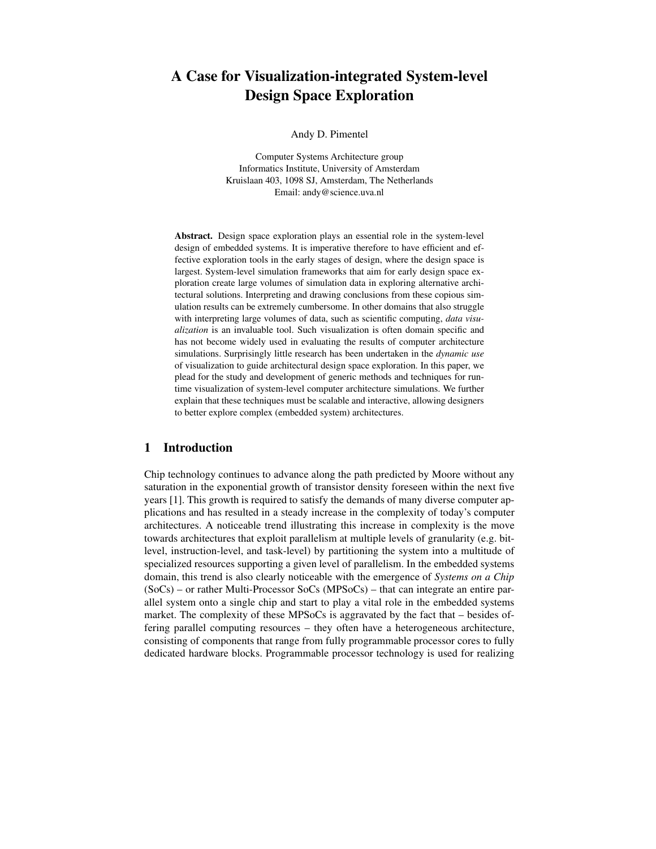# **A Case for Visualization-integrated System-level Design Space Exploration**

Andy D. Pimentel

Computer Systems Architecture group Informatics Institute, University of Amsterdam Kruislaan 403, 1098 SJ, Amsterdam, The Netherlands Email: andy@science.uva.nl

**Abstract.** Design space exploration plays an essential role in the system-level design of embedded systems. It is imperative therefore to have efficient and effective exploration tools in the early stages of design, where the design space is largest. System-level simulation frameworks that aim for early design space exploration create large volumes of simulation data in exploring alternative architectural solutions. Interpreting and drawing conclusions from these copious simulation results can be extremely cumbersome. In other domains that also struggle with interpreting large volumes of data, such as scientific computing, *data visualization* is an invaluable tool. Such visualization is often domain specific and has not become widely used in evaluating the results of computer architecture simulations. Surprisingly little research has been undertaken in the *dynamic use* of visualization to guide architectural design space exploration. In this paper, we plead for the study and development of generic methods and techniques for runtime visualization of system-level computer architecture simulations. We further explain that these techniques must be scalable and interactive, allowing designers to better explore complex (embedded system) architectures.

### **1 Introduction**

Chip technology continues to advance along the path predicted by Moore without any saturation in the exponential growth of transistor density foreseen within the next five years [1]. This growth is required to satisfy the demands of many diverse computer applications and has resulted in a steady increase in the complexity of today's computer architectures. A noticeable trend illustrating this increase in complexity is the move towards architectures that exploit parallelism at multiple levels of granularity (e.g. bitlevel, instruction-level, and task-level) by partitioning the system into a multitude of specialized resources supporting a given level of parallelism. In the embedded systems domain, this trend is also clearly noticeable with the emergence of *Systems on a Chip* (SoCs) – or rather Multi-Processor SoCs (MPSoCs) – that can integrate an entire parallel system onto a single chip and start to play a vital role in the embedded systems market. The complexity of these MPSoCs is aggravated by the fact that – besides offering parallel computing resources – they often have a heterogeneous architecture, consisting of components that range from fully programmable processor cores to fully dedicated hardware blocks. Programmable processor technology is used for realizing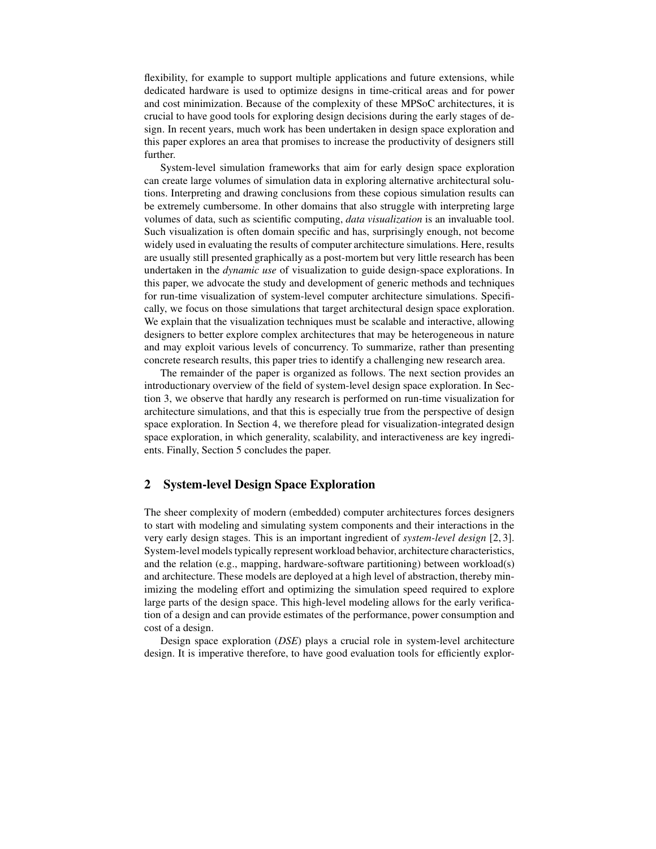flexibility, for example to support multiple applications and future extensions, while dedicated hardware is used to optimize designs in time-critical areas and for power and cost minimization. Because of the complexity of these MPSoC architectures, it is crucial to have good tools for exploring design decisions during the early stages of design. In recent years, much work has been undertaken in design space exploration and this paper explores an area that promises to increase the productivity of designers still further.

System-level simulation frameworks that aim for early design space exploration can create large volumes of simulation data in exploring alternative architectural solutions. Interpreting and drawing conclusions from these copious simulation results can be extremely cumbersome. In other domains that also struggle with interpreting large volumes of data, such as scientific computing, *data visualization* is an invaluable tool. Such visualization is often domain specific and has, surprisingly enough, not become widely used in evaluating the results of computer architecture simulations. Here, results are usually still presented graphically as a post-mortem but very little research has been undertaken in the *dynamic use* of visualization to guide design-space explorations. In this paper, we advocate the study and development of generic methods and techniques for run-time visualization of system-level computer architecture simulations. Specifically, we focus on those simulations that target architectural design space exploration. We explain that the visualization techniques must be scalable and interactive, allowing designers to better explore complex architectures that may be heterogeneous in nature and may exploit various levels of concurrency. To summarize, rather than presenting concrete research results, this paper tries to identify a challenging new research area.

The remainder of the paper is organized as follows. The next section provides an introductionary overview of the field of system-level design space exploration. In Section 3, we observe that hardly any research is performed on run-time visualization for architecture simulations, and that this is especially true from the perspective of design space exploration. In Section 4, we therefore plead for visualization-integrated design space exploration, in which generality, scalability, and interactiveness are key ingredients. Finally, Section 5 concludes the paper.

# **2 System-level Design Space Exploration**

The sheer complexity of modern (embedded) computer architectures forces designers to start with modeling and simulating system components and their interactions in the very early design stages. This is an important ingredient of *system-level design* [2, 3]. System-level modelstypically represent workload behavior, architecture characteristics, and the relation (e.g., mapping, hardware-software partitioning) between workload(s) and architecture. These models are deployed at a high level of abstraction, thereby minimizing the modeling effort and optimizing the simulation speed required to explore large parts of the design space. This high-level modeling allows for the early verification of a design and can provide estimates of the performance, power consumption and cost of a design.

Design space exploration (*DSE*) plays a crucial role in system-level architecture design. It is imperative therefore, to have good evaluation tools for efficiently explor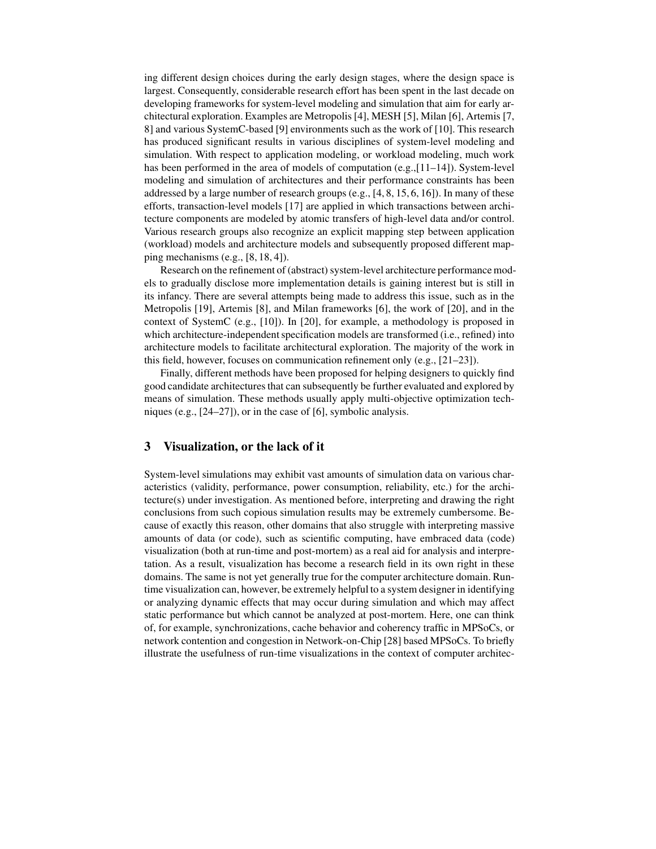ing different design choices during the early design stages, where the design space is largest. Consequently, considerable research effort has been spent in the last decade on developing frameworks for system-level modeling and simulation that aim for early architectural exploration. Examples are Metropolis [4], MESH [5], Milan [6], Artemis [7, 8] and various SystemC-based [9] environments such as the work of [10]. This research has produced significant results in various disciplines of system-level modeling and simulation. With respect to application modeling, or workload modeling, much work has been performed in the area of models of computation (e.g.,[11–14]). System-level modeling and simulation of architectures and their performance constraints has been addressed by a large number of research groups (e.g., [4, 8, 15, 6, 16]). In many of these efforts, transaction-level models [17] are applied in which transactions between architecture components are modeled by atomic transfers of high-level data and/or control. Various research groups also recognize an explicit mapping step between application (workload) models and architecture models and subsequently proposed different mapping mechanisms (e.g., [8, 18, 4]).

Research on the refinement of (abstract) system-level architecture performance models to gradually disclose more implementation details is gaining interest but is still in its infancy. There are several attempts being made to address this issue, such as in the Metropolis [19], Artemis [8], and Milan frameworks [6], the work of [20], and in the context of SystemC (e.g., [10]). In [20], for example, a methodology is proposed in which architecture-independent specification models are transformed (i.e., refined) into architecture models to facilitate architectural exploration. The majority of the work in this field, however, focuses on communication refinement only (e.g., [21–23]).

Finally, different methods have been proposed for helping designers to quickly find good candidate architecturesthat can subsequently be further evaluated and explored by means of simulation. These methods usually apply multi-objective optimization techniques (e.g., [24–27]), or in the case of [6], symbolic analysis.

### **3 Visualization, or the lack of it**

System-level simulations may exhibit vast amounts of simulation data on various characteristics (validity, performance, power consumption, reliability, etc.) for the architecture(s) under investigation. As mentioned before, interpreting and drawing the right conclusions from such copious simulation results may be extremely cumbersome. Because of exactly this reason, other domains that also struggle with interpreting massive amounts of data (or code), such as scientific computing, have embraced data (code) visualization (both at run-time and post-mortem) as a real aid for analysis and interpretation. As a result, visualization has become a research field in its own right in these domains. The same is not yet generally true for the computer architecture domain. Runtime visualization can, however, be extremely helpful to a system designer in identifying or analyzing dynamic effects that may occur during simulation and which may affect static performance but which cannot be analyzed at post-mortem. Here, one can think of, for example, synchronizations, cache behavior and coherency traffic in MPSoCs, or network contention and congestion in Network-on-Chip [28] based MPSoCs. To briefly illustrate the usefulness of run-time visualizations in the context of computer architec-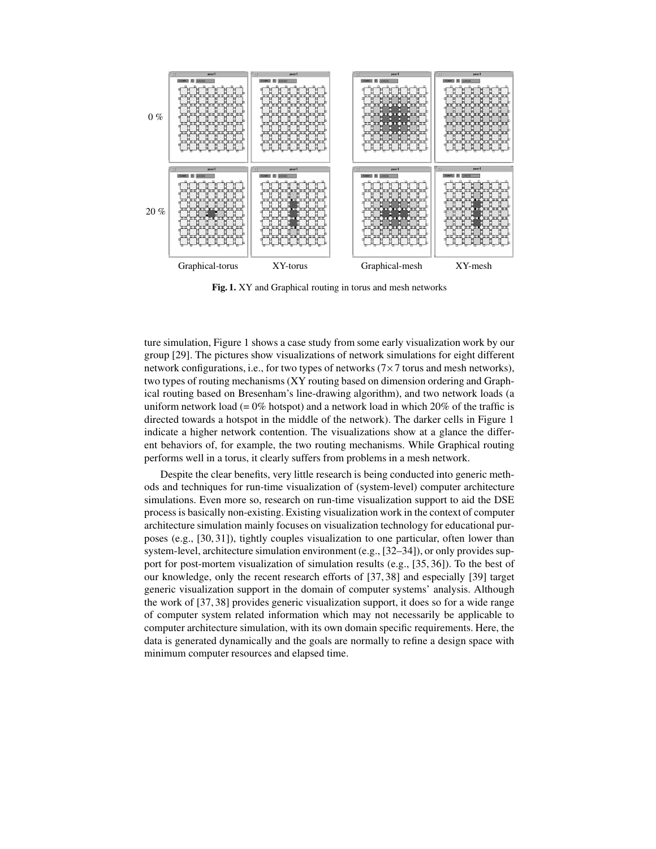

**Fig. 1.** XY and Graphical routing in torus and mesh networks

ture simulation, Figure 1 shows a case study from some early visualization work by our group [29]. The pictures show visualizations of network simulations for eight different network configurations, i.e., for two types of networks (7 7 torus and mesh networks), two types of routing mechanisms (XY routing based on dimension ordering and Graphical routing based on Bresenham's line-drawing algorithm), and two network loads (a uniform network load  $(= 0\%$  hotspot) and a network load in which 20% of the traffic is directed towards a hotspot in the middle of the network). The darker cells in Figure 1 indicate a higher network contention. The visualizations show at a glance the different behaviors of, for example, the two routing mechanisms. While Graphical routing performs well in a torus, it clearly suffers from problems in a mesh network.

Despite the clear benefits, very little research is being conducted into generic methods and techniques for run-time visualization of (system-level) computer architecture simulations. Even more so, research on run-time visualization support to aid the DSE process is basically non-existing. Existing visualization work in the context of computer architecture simulation mainly focuses on visualization technology for educational purposes (e.g., [30, 31]), tightly couples visualization to one particular, often lower than system-level, architecture simulation environment (e.g., [32–34]), or only provides support for post-mortem visualization of simulation results (e.g., [35, 36]). To the best of our knowledge, only the recent research efforts of [37, 38] and especially [39] target generic visualization support in the domain of computer systems' analysis. Although the work of [37, 38] provides generic visualization support, it does so for a wide range of computer system related information which may not necessarily be applicable to computer architecture simulation, with its own domain specific requirements. Here, the data is generated dynamically and the goals are normally to refine a design space with minimum computer resources and elapsed time.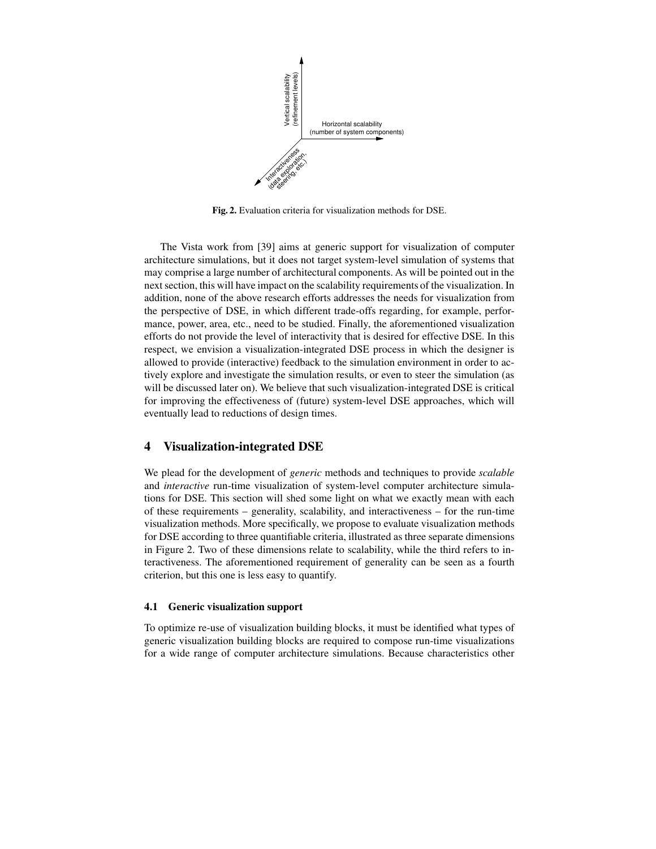

**Fig. 2.** Evaluation criteria for visualization methods for DSE.

The Vista work from [39] aims at generic support for visualization of computer architecture simulations, but it does not target system-level simulation of systems that may comprise a large number of architectural components. As will be pointed out in the next section, this will have impact on the scalability requirements of the visualization. In addition, none of the above research efforts addresses the needs for visualization from the perspective of DSE, in which different trade-offs regarding, for example, performance, power, area, etc., need to be studied. Finally, the aforementioned visualization efforts do not provide the level of interactivity that is desired for effective DSE. In this respect, we envision a visualization-integrated DSE process in which the designer is allowed to provide (interactive) feedback to the simulation environment in order to actively explore and investigate the simulation results, or even to steer the simulation (as will be discussed later on). We believe that such visualization-integrated DSE is critical for improving the effectiveness of (future) system-level DSE approaches, which will eventually lead to reductions of design times.

### **4 Visualization-integrated DSE**

We plead for the development of *generic* methods and techniques to provide *scalable* and *interactive* run-time visualization of system-level computer architecture simulations for DSE. This section will shed some light on what we exactly mean with each of these requirements – generality, scalability, and interactiveness – for the run-time visualization methods. More specifically, we propose to evaluate visualization methods for DSE according to three quantifiable criteria, illustrated as three separate dimensions in Figure 2. Two of these dimensions relate to scalability, while the third refers to interactiveness. The aforementioned requirement of generality can be seen as a fourth criterion, but this one is less easy to quantify.

#### **4.1 Generic visualization support**

To optimize re-use of visualization building blocks, it must be identified what types of generic visualization building blocks are required to compose run-time visualizations for a wide range of computer architecture simulations. Because characteristics other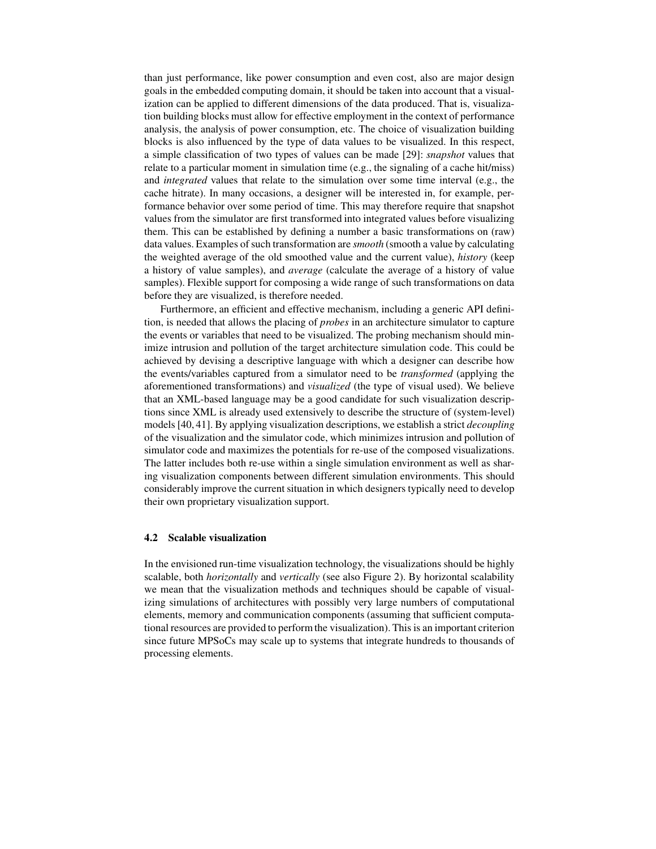than just performance, like power consumption and even cost, also are major design goals in the embedded computing domain, it should be taken into account that a visualization can be applied to different dimensions of the data produced. That is, visualization building blocks must allow for effective employment in the context of performance analysis, the analysis of power consumption, etc. The choice of visualization building blocks is also influenced by the type of data values to be visualized. In this respect, a simple classification of two types of values can be made [29]: *snapshot* values that relate to a particular moment in simulation time (e.g., the signaling of a cache hit/miss) and *integrated* values that relate to the simulation over some time interval (e.g., the cache hitrate). In many occasions, a designer will be interested in, for example, performance behavior over some period of time. This may therefore require that snapshot values from the simulator are first transformed into integrated values before visualizing them. This can be established by defining a number a basic transformations on (raw) data values. Examples of such transformation are *smooth* (smooth a value by calculating the weighted average of the old smoothed value and the current value), *history* (keep a history of value samples), and *average* (calculate the average of a history of value samples). Flexible support for composing a wide range of such transformations on data before they are visualized, is therefore needed.

Furthermore, an efficient and effective mechanism, including a generic API definition, is needed that allows the placing of *probes* in an architecture simulator to capture the events or variables that need to be visualized. The probing mechanism should minimize intrusion and pollution of the target architecture simulation code. This could be achieved by devising a descriptive language with which a designer can describe how the events/variables captured from a simulator need to be *transformed* (applying the aforementioned transformations) and *visualized* (the type of visual used). We believe that an XML-based language may be a good candidate for such visualization descriptions since XML is already used extensively to describe the structure of (system-level) models [40, 41]. By applying visualization descriptions, we establish a strict *decoupling* of the visualization and the simulator code, which minimizes intrusion and pollution of simulator code and maximizes the potentials for re-use of the composed visualizations. The latter includes both re-use within a single simulation environment as well as sharing visualization components between different simulation environments. This should considerably improve the current situation in which designers typically need to develop their own proprietary visualization support.

#### **4.2 Scalable visualization**

In the envisioned run-time visualization technology, the visualizations should be highly scalable, both *horizontally* and *vertically* (see also Figure 2). By horizontal scalability we mean that the visualization methods and techniques should be capable of visualizing simulations of architectures with possibly very large numbers of computational elements, memory and communication components (assuming that sufficient computational resources are provided to perform the visualization). This is an important criterion since future MPSoCs may scale up to systems that integrate hundreds to thousands of processing elements.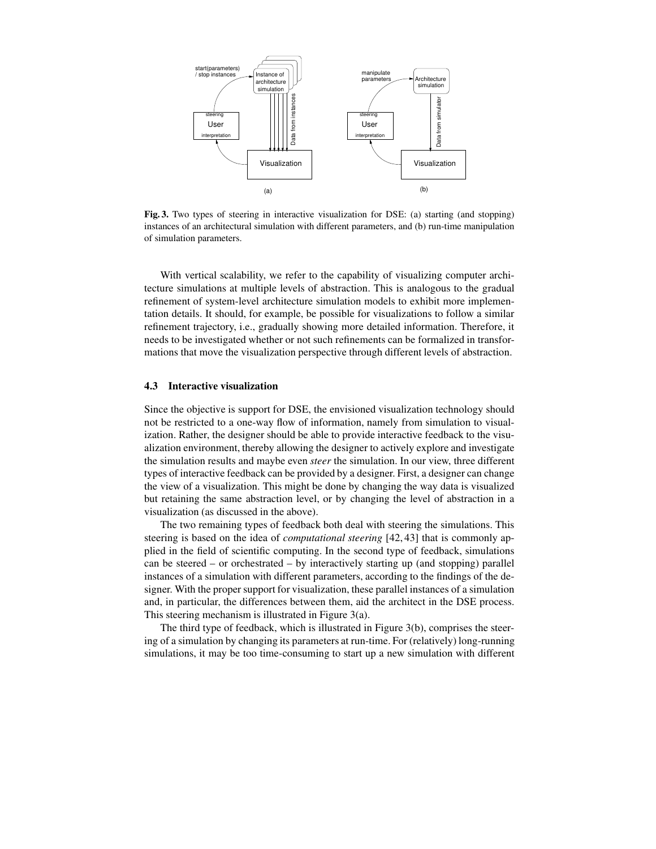

**Fig. 3.** Two types of steering in interactive visualization for DSE: (a) starting (and stopping) instances of an architectural simulation with different parameters, and (b) run-time manipulation of simulation parameters.

With vertical scalability, we refer to the capability of visualizing computer architecture simulations at multiple levels of abstraction. This is analogous to the gradual refinement of system-level architecture simulation models to exhibit more implementation details. It should, for example, be possible for visualizations to follow a similar refinement trajectory, i.e., gradually showing more detailed information. Therefore, it needs to be investigated whether or not such refinements can be formalized in transformations that move the visualization perspective through different levels of abstraction.

#### **4.3 Interactive visualization**

Since the objective is support for DSE, the envisioned visualization technology should not be restricted to a one-way flow of information, namely from simulation to visualization. Rather, the designer should be able to provide interactive feedback to the visualization environment, thereby allowing the designer to actively explore and investigate the simulation results and maybe even *steer* the simulation. In our view, three different types of interactive feedback can be provided by a designer. First, a designer can change the view of a visualization. This might be done by changing the way data is visualized but retaining the same abstraction level, or by changing the level of abstraction in a visualization (as discussed in the above).

The two remaining types of feedback both deal with steering the simulations. This steering is based on the idea of *computational steering* [42, 43] that is commonly applied in the field of scientific computing. In the second type of feedback, simulations can be steered – or orchestrated – by interactively starting up (and stopping) parallel instances of a simulation with different parameters, according to the findings of the designer. With the proper support for visualization, these parallel instances of a simulation and, in particular, the differences between them, aid the architect in the DSE process. This steering mechanism is illustrated in Figure 3(a).

The third type of feedback, which is illustrated in Figure 3(b), comprises the steering of a simulation by changing its parameters at run-time. For (relatively) long-running simulations, it may be too time-consuming to start up a new simulation with different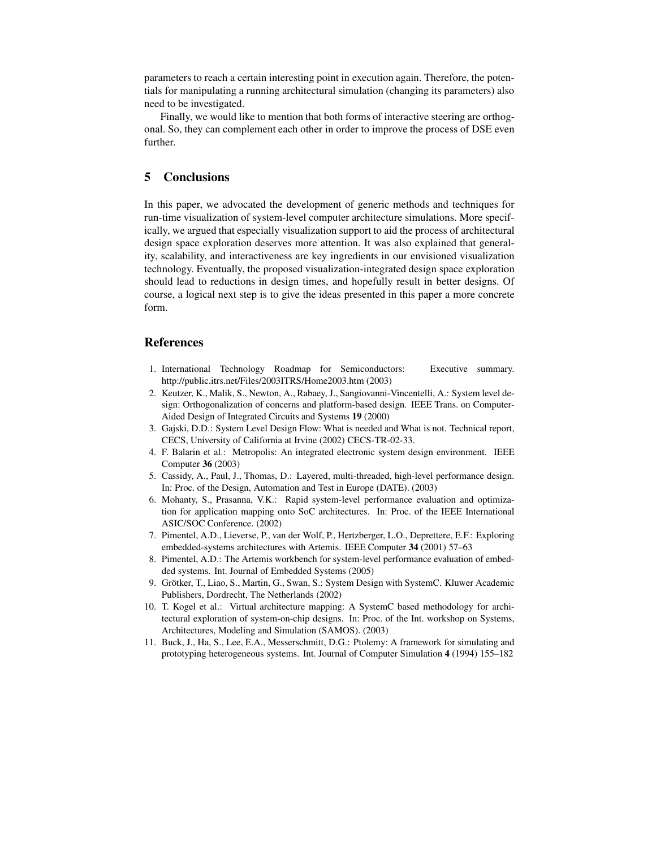parameters to reach a certain interesting point in execution again. Therefore, the potentials for manipulating a running architectural simulation (changing its parameters) also need to be investigated.

Finally, we would like to mention that both forms of interactive steering are orthogonal. So, they can complement each other in order to improve the process of DSE even further.

# **5 Conclusions**

In this paper, we advocated the development of generic methods and techniques for run-time visualization of system-level computer architecture simulations. More specifically, we argued that especially visualization support to aid the process of architectural design space exploration deserves more attention. It was also explained that generality, scalability, and interactiveness are key ingredients in our envisioned visualization technology. Eventually, the proposed visualization-integrated design space exploration should lead to reductions in design times, and hopefully result in better designs. Of course, a logical next step is to give the ideas presented in this paper a more concrete form.

### **References**

- 1. International Technology Roadmap for Semiconductors: Executive summary. http://public.itrs.net/Files/2003ITRS/Home2003.htm (2003)
- 2. Keutzer, K., Malik, S., Newton, A., Rabaey, J., Sangiovanni-Vincentelli, A.: System level design: Orthogonalization of concerns and platform-based design. IEEE Trans. on Computer-Aided Design of Integrated Circuits and Systems **19** (2000)
- 3. Gajski, D.D.: System Level Design Flow: What is needed and What is not. Technical report, CECS, University of California at Irvine (2002) CECS-TR-02-33.
- 4. F. Balarin et al.: Metropolis: An integrated electronic system design environment. IEEE Computer **36** (2003)
- 5. Cassidy, A., Paul, J., Thomas, D.: Layered, multi-threaded, high-level performance design. In: Proc. of the Design, Automation and Test in Europe (DATE). (2003)
- 6. Mohanty, S., Prasanna, V.K.: Rapid system-level performance evaluation and optimization for application mapping onto SoC architectures. In: Proc. of the IEEE International ASIC/SOC Conference. (2002)
- 7. Pimentel, A.D., Lieverse, P., van der Wolf, P., Hertzberger, L.O., Deprettere, E.F.: Exploring embedded-systems architectures with Artemis. IEEE Computer **34** (2001) 57–63
- 8. Pimentel, A.D.: The Artemis workbench for system-level performance evaluation of embedded systems. Int. Journal of Embedded Systems (2005)
- 9. Grötker, T., Liao, S., Martin, G., Swan, S.: System Design with SystemC. Kluwer Academic Publishers, Dordrecht, The Netherlands (2002)
- 10. T. Kogel et al.: Virtual architecture mapping: A SystemC based methodology for architectural exploration of system-on-chip designs. In: Proc. of the Int. workshop on Systems, Architectures, Modeling and Simulation (SAMOS). (2003)
- 11. Buck, J., Ha, S., Lee, E.A., Messerschmitt, D.G.: Ptolemy: A framework for simulating and prototyping heterogeneous systems. Int. Journal of Computer Simulation **4** (1994) 155–182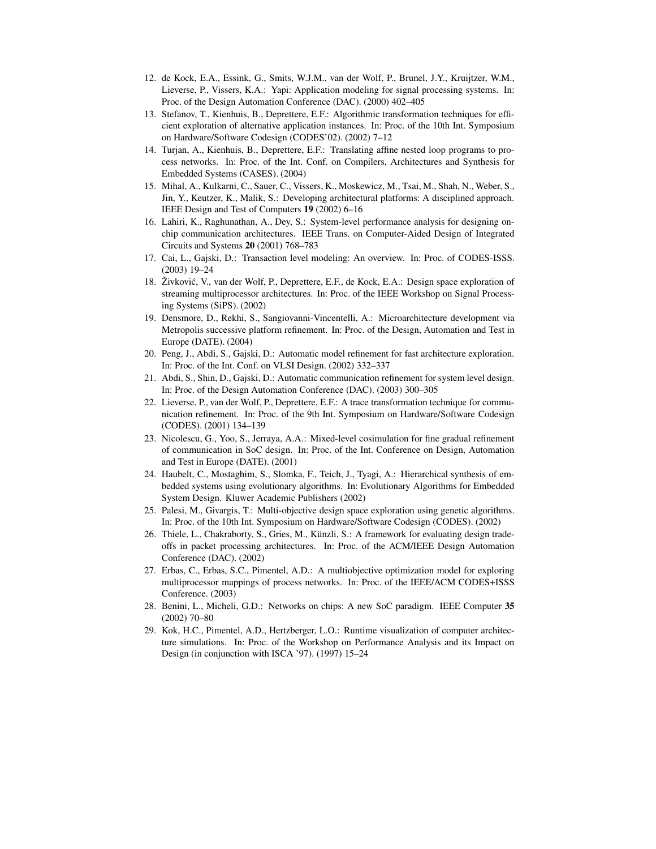- 12. de Kock, E.A., Essink, G., Smits, W.J.M., van der Wolf, P., Brunel, J.Y., Kruijtzer, W.M., Lieverse, P., Vissers, K.A.: Yapi: Application modeling for signal processing systems. In: Proc. of the Design Automation Conference (DAC). (2000) 402–405
- 13. Stefanov, T., Kienhuis, B., Deprettere, E.F.: Algorithmic transformation techniques for efficient exploration of alternative application instances. In: Proc. of the 10th Int. Symposium on Hardware/Software Codesign (CODES'02). (2002) 7–12
- 14. Turjan, A., Kienhuis, B., Deprettere, E.F.: Translating affine nested loop programs to process networks. In: Proc. of the Int. Conf. on Compilers, Architectures and Synthesis for Embedded Systems (CASES). (2004)
- 15. Mihal, A., Kulkarni, C., Sauer, C., Vissers, K., Moskewicz, M., Tsai, M., Shah, N., Weber, S., Jin, Y., Keutzer, K., Malik, S.: Developing architectural platforms: A disciplined approach. IEEE Design and Test of Computers **19** (2002) 6–16
- 16. Lahiri, K., Raghunathan, A., Dey, S.: System-level performance analysis for designing onchip communication architectures. IEEE Trans. on Computer-Aided Design of Integrated Circuits and Systems **20** (2001) 768–783
- 17. Cai, L., Gajski, D.: Transaction level modeling: An overview. In: Proc. of CODES-ISSS. (2003) 19–24
- 18. Živković, V., van der Wolf, P., Deprettere, E.F., de Kock, E.A.: Design space exploration of streaming multiprocessor architectures. In: Proc. of the IEEE Workshop on Signal Processing Systems (SiPS). (2002)
- 19. Densmore, D., Rekhi, S., Sangiovanni-Vincentelli, A.: Microarchitecture development via Metropolis successive platform refinement. In: Proc. of the Design, Automation and Test in Europe (DATE). (2004)
- 20. Peng, J., Abdi, S., Gajski, D.: Automatic model refinement for fast architecture exploration. In: Proc. of the Int. Conf. on VLSI Design. (2002) 332–337
- 21. Abdi, S., Shin, D., Gajski, D.: Automatic communication refinement for system level design. In: Proc. of the Design Automation Conference (DAC). (2003) 300–305
- 22. Lieverse, P., van der Wolf, P., Deprettere, E.F.: A trace transformation technique for communication refinement. In: Proc. of the 9th Int. Symposium on Hardware/Software Codesign (CODES). (2001) 134–139
- 23. Nicolescu, G., Yoo, S., Jerraya, A.A.: Mixed-level cosimulation for fine gradual refinement of communication in SoC design. In: Proc. of the Int. Conference on Design, Automation and Test in Europe (DATE). (2001)
- 24. Haubelt, C., Mostaghim, S., Slomka, F., Teich, J., Tyagi, A.: Hierarchical synthesis of embedded systems using evolutionary algorithms. In: Evolutionary Algorithms for Embedded System Design. Kluwer Academic Publishers (2002)
- 25. Palesi, M., Givargis, T.: Multi-objective design space exploration using genetic algorithms. In: Proc. of the 10th Int. Symposium on Hardware/Software Codesign (CODES). (2002)
- 26. Thiele, L., Chakraborty, S., Gries, M., Künzli, S.: A framework for evaluating design tradeoffs in packet processing architectures. In: Proc. of the ACM/IEEE Design Automation Conference (DAC). (2002)
- 27. Erbas, C., Erbas, S.C., Pimentel, A.D.: A multiobjective optimization model for exploring multiprocessor mappings of process networks. In: Proc. of the IEEE/ACM CODES+ISSS Conference. (2003)
- 28. Benini, L., Micheli, G.D.: Networks on chips: A new SoC paradigm. IEEE Computer **35** (2002) 70–80
- 29. Kok, H.C., Pimentel, A.D., Hertzberger, L.O.: Runtime visualization of computer architecture simulations. In: Proc. of the Workshop on Performance Analysis and its Impact on Design (in conjunction with ISCA '97). (1997) 15–24